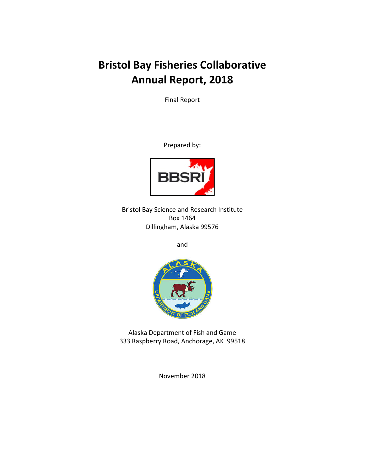# **Bristol Bay Fisheries Collaborative Annual Report, 2018**

Final Report

Prepared by:



Bristol Bay Science and Research Institute Box 1464 Dillingham, Alaska 99576

and



Alaska Department of Fish and Game 333 Raspberry Road, Anchorage, AK 99518

November 2018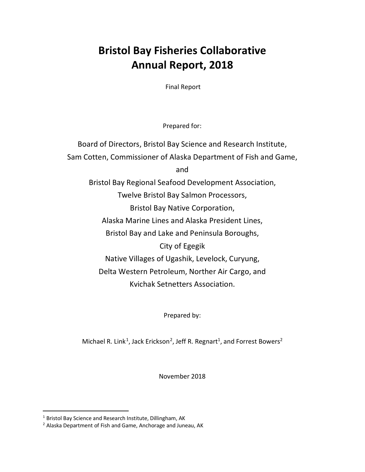## **Bristol Bay Fisheries Collaborative Annual Report, 2018**

Final Report

Prepared for:

Board of Directors, Bristol Bay Science and Research Institute, Sam Cotten, Commissioner of Alaska Department of Fish and Game, and Bristol Bay Regional Seafood Development Association, Twelve Bristol Bay Salmon Processors, Bristol Bay Native Corporation, Alaska Marine Lines and Alaska President Lines, Bristol Bay and Lake and Peninsula Boroughs, City of Egegik Native Villages of Ugashik, Levelock, Curyung, Delta Western Petroleum, Norther Air Cargo, and Kvichak Setnetters Association.

Prepared by:

Michael R. Link<sup>[1](#page-2-0)</sup>, Jack Erickson<sup>[2](#page-2-1)</sup>, Jeff R. Regnart<sup>1</sup>, and Forrest Bowers<sup>2</sup>

November 2018

<span id="page-2-0"></span><sup>&</sup>lt;sup>1</sup> Bristol Bay Science and Research Institute, Dillingham, AK

<span id="page-2-1"></span><sup>&</sup>lt;sup>2</sup> Alaska Department of Fish and Game, Anchorage and Juneau, AK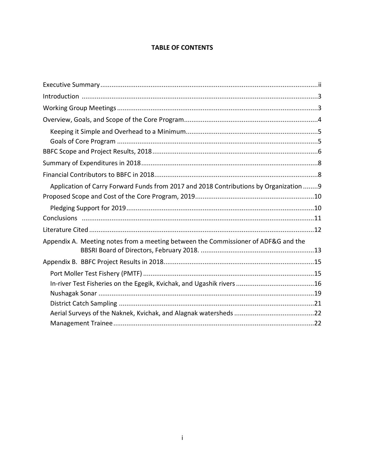### **TABLE OF CONTENTS**

| Application of Carry Forward Funds from 2017 and 2018 Contributions by Organization 9 |  |
|---------------------------------------------------------------------------------------|--|
|                                                                                       |  |
|                                                                                       |  |
|                                                                                       |  |
|                                                                                       |  |
| Appendix A. Meeting notes from a meeting between the Commissioner of ADF&G and the    |  |
|                                                                                       |  |
|                                                                                       |  |
|                                                                                       |  |
|                                                                                       |  |
|                                                                                       |  |
|                                                                                       |  |
|                                                                                       |  |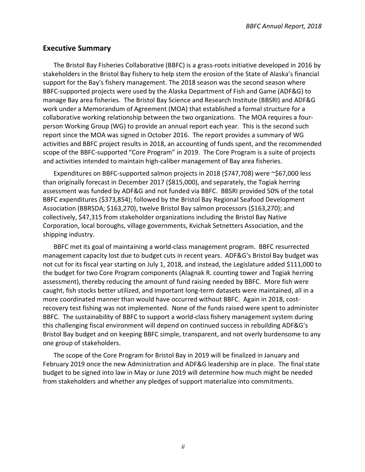#### <span id="page-4-0"></span>**Executive Summary**

The Bristol Bay Fisheries Collaborative (BBFC) is a grass-roots initiative developed in 2016 by stakeholders in the Bristol Bay fishery to help stem the erosion of the State of Alaska's financial support for the Bay's fishery management. The 2018 season was the second season where BBFC-supported projects were used by the Alaska Department of Fish and Game (ADF&G) to manage Bay area fisheries. The Bristol Bay Science and Research Institute (BBSRI) and ADF&G work under a Memorandum of Agreement (MOA) that established a formal structure for a collaborative working relationship between the two organizations. The MOA requires a fourperson Working Group (WG) to provide an annual report each year. This is the second such report since the MOA was signed in October 2016. The report provides a summary of WG activities and BBFC project results in 2018, an accounting of funds spent, and the recommended scope of the BBFC-supported "Core Program" in 2019. The Core Program is a suite of projects and activities intended to maintain high-caliber management of Bay area fisheries.

Expenditures on BBFC-supported salmon projects in 2018 (\$747,708) were ~\$67,000 less than originally forecast in December 2017 (\$815,000), and separately, the Togiak herring assessment was funded by ADF&G and not funded via BBFC. BBSRI provided 50% of the total BBFC expenditures (\$373,854); followed by the Bristol Bay Regional Seafood Development Association (BBRSDA; \$163,270), twelve Bristol Bay salmon processors (\$163,270); and collectively, \$47,315 from stakeholder organizations including the Bristol Bay Native Corporation, local boroughs, village governments, Kvichak Setnetters Association, and the shipping industry.

BBFC met its goal of maintaining a world-class management program. BBFC resurrected management capacity lost due to budget cuts in recent years. ADF&G's Bristol Bay budget was not cut for its fiscal year starting on July 1, 2018, and instead, the Legislature added \$111,000 to the budget for two Core Program components (Alagnak R. counting tower and Togiak herring assessment), thereby reducing the amount of fund raising needed by BBFC. More fish were caught, fish stocks better utilized, and important long-term datasets were maintained, all in a more coordinated manner than would have occurred without BBFC. Again in 2018, costrecovery test fishing was not implemented. None of the funds raised were spent to administer BBFC. The sustainability of BBFC to support a world-class fishery management system during this challenging fiscal environment will depend on continued success in rebuilding ADF&G's Bristol Bay budget and on keeping BBFC simple, transparent, and not overly burdensome to any one group of stakeholders.

The scope of the Core Program for Bristol Bay in 2019 will be finalized in January and February 2019 once the new Administration and ADF&G leadership are in place. The final state budget to be signed into law in May or June 2019 will determine how much might be needed from stakeholders and whether any pledges of support materialize into commitments.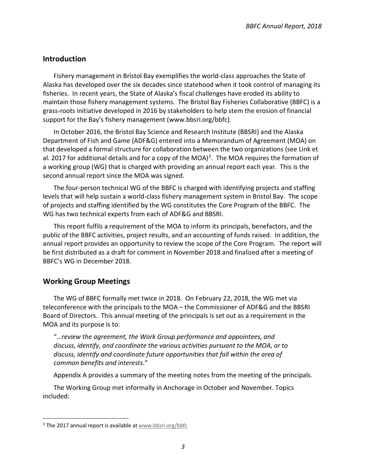#### <span id="page-5-0"></span>**Introduction**

Fishery management in Bristol Bay exemplifies the world-class approaches the State of Alaska has developed over the six decades since statehood when it took control of managing its fisheries. In recent years, the State of Alaska's fiscal challenges have eroded its ability to maintain those fishery management systems. The Bristol Bay Fisheries Collaborative (BBFC) is a grass-roots initiative developed in 2016 by stakeholders to help stem the erosion of financial support for the Bay's fishery management (www.bbsri.org/bbfc).

In October 2016, the Bristol Bay Science and Research Institute (BBSRI) and the Alaska Department of Fish and Game (ADF&G) entered into a Memorandum of Agreement (MOA) on that developed a formal structure for collaboration between the two organizations (see Link et al. 2017 for additional details and for a copy of the MOA)<sup>[3](#page-5-2)</sup>. The MOA requires the formation of a working group (WG) that is charged with providing an annual report each year. This is the second annual report since the MOA was signed.

The four-person technical WG of the BBFC is charged with identifying projects and staffing levels that will help sustain a world-class fishery management system in Bristol Bay. The scope of projects and staffing identified by the WG constitutes the Core Program of the BBFC. The WG has two technical experts from each of ADF&G and BBSRI.

This report fulfils a requirement of the MOA to inform its principals, benefactors, and the public of the BBFC activities, project results, and an accounting of funds raised. In addition, the annual report provides an opportunity to review the scope of the Core Program. The report will be first distributed as a draft for comment in November 2018 and finalized after a meeting of BBFC's WG in December 2018.

#### <span id="page-5-1"></span>**Working Group Meetings**

The WG of BBFC formally met twice in 2018. On February 22, 2018, the WG met via teleconference with the principals to the MOA – the Commissioner of ADF&G and the BBSRI Board of Directors. This annual meeting of the principals is set out as a requirement in the MOA and its purpose is to:

"…*review the agreement, the Work Group performance and appointees, and discuss, identify, and coordinate the various activities pursuant to the MOA, or to discuss, identify and coordinate future opportunities that fall within the area of common benefits and interests*."

Appendix A provides a summary of the meeting notes from the meeting of the principals.

The Working Group met informally in Anchorage in October and November. Topics included:

<span id="page-5-2"></span> $3$  The 2017 annual report is available at www.bbsri.org/bbfc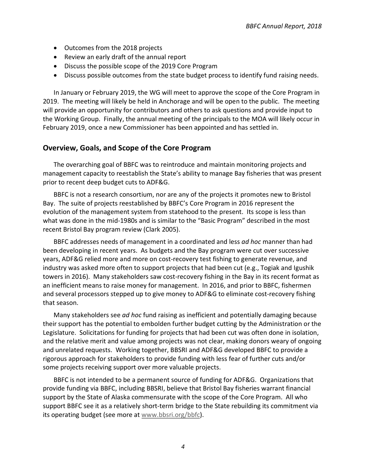- Outcomes from the 2018 projects
- Review an early draft of the annual report
- Discuss the possible scope of the 2019 Core Program
- Discuss possible outcomes from the state budget process to identify fund raising needs.

In January or February 2019, the WG will meet to approve the scope of the Core Program in 2019. The meeting will likely be held in Anchorage and will be open to the public. The meeting will provide an opportunity for contributors and others to ask questions and provide input to the Working Group. Finally, the annual meeting of the principals to the MOA will likely occur in February 2019, once a new Commissioner has been appointed and has settled in.

#### <span id="page-6-0"></span>**Overview, Goals, and Scope of the Core Program**

The overarching goal of BBFC was to reintroduce and maintain monitoring projects and management capacity to reestablish the State's ability to manage Bay fisheries that was present prior to recent deep budget cuts to ADF&G.

BBFC is not a research consortium, nor are any of the projects it promotes new to Bristol Bay. The suite of projects reestablished by BBFC's Core Program in 2016 represent the evolution of the management system from statehood to the present. Its scope is less than what was done in the mid-1980s and is similar to the "Basic Program" described in the most recent Bristol Bay program review (Clark 2005).

BBFC addresses needs of management in a coordinated and less *ad hoc* manner than had been developing in recent years. As budgets and the Bay program were cut over successive years, ADF&G relied more and more on cost-recovery test fishing to generate revenue, and industry was asked more often to support projects that had been cut (e.g., Togiak and Igushik towers in 2016). Many stakeholders saw cost-recovery fishing in the Bay in its recent format as an inefficient means to raise money for management. In 2016, and prior to BBFC, fishermen and several processors stepped up to give money to ADF&G to eliminate cost-recovery fishing that season.

Many stakeholders see *ad hoc* fund raising as inefficient and potentially damaging because their support has the potential to embolden further budget cutting by the Administration or the Legislature. Solicitations for funding for projects that had been cut was often done in isolation, and the relative merit and value among projects was not clear, making donors weary of ongoing and unrelated requests. Working together, BBSRI and ADF&G developed BBFC to provide a rigorous approach for stakeholders to provide funding with less fear of further cuts and/or some projects receiving support over more valuable projects.

BBFC is not intended to be a permanent source of funding for ADF&G. Organizations that provide funding via BBFC, including BBSRI, believe that Bristol Bay fisheries warrant financial support by the State of Alaska commensurate with the scope of the Core Program. All who support BBFC see it as a relatively short-term bridge to the State rebuilding its commitment via its operating budget (see more at [www.bbsri.org/bbfc\)](http://www.bbsri.org/bbfc).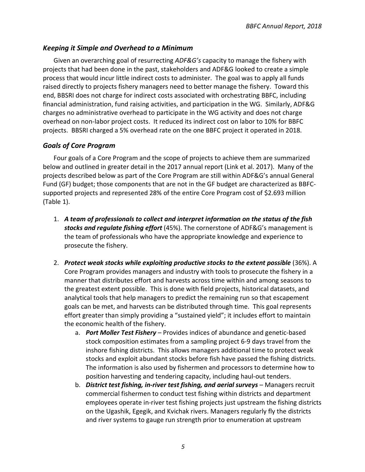#### <span id="page-7-0"></span>*Keeping it Simple and Overhead to a Minimum*

Given an overarching goal of resurrecting *ADF&G's* capacity to manage the fishery with projects that had been done in the past, stakeholders and ADF&G looked to create a simple process that would incur little indirect costs to administer. The goal was to apply all funds raised directly to projects fishery managers need to better manage the fishery. Toward this end, BBSRI does not charge for indirect costs associated with orchestrating BBFC, including financial administration, fund raising activities, and participation in the WG. Similarly, ADF&G charges no administrative overhead to participate in the WG activity and does not charge overhead on non-labor project costs. It reduced its indirect cost on labor to 10% for BBFC projects. BBSRI charged a 5% overhead rate on the one BBFC project it operated in 2018.

#### <span id="page-7-1"></span>*Goals of Core Program*

Four goals of a Core Program and the scope of projects to achieve them are summarized below and outlined in greater detail in the 2017 annual report (Link et al. 2017). Many of the projects described below as part of the Core Program are still within ADF&G's annual General Fund (GF) budget; those components that are not in the GF budget are characterized as BBFCsupported projects and represented 28% of the entire Core Program cost of \$2.693 million (Table 1).

- 1. *A team of professionals to collect and interpret information on the status of the fish stocks and regulate fishing effort* (45%). The cornerstone of ADF&G's management is the team of professionals who have the appropriate knowledge and experience to prosecute the fishery.
- 2. *Protect weak stocks while exploiting productive stocks to the extent possible* (36%). A Core Program provides managers and industry with tools to prosecute the fishery in a manner that distributes effort and harvests across time within and among seasons to the greatest extent possible. This is done with field projects, historical datasets, and analytical tools that help managers to predict the remaining run so that escapement goals can be met, and harvests can be distributed through time. This goal represents effort greater than simply providing a "sustained yield"; it includes effort to maintain the economic health of the fishery.
	- a. *Port Moller Test Fishery* Provides indices of abundance and genetic-based stock composition estimates from a sampling project 6-9 days travel from the inshore fishing districts. This allows managers additional time to protect weak stocks and exploit abundant stocks before fish have passed the fishing districts. The information is also used by fishermen and processors to determine how to position harvesting and tendering capacity, including haul-out tenders.
	- b. *District test fishing, in-river test fishing, and aerial surveys* Managers recruit commercial fishermen to conduct test fishing within districts and department employees operate in-river test fishing projects just upstream the fishing districts on the Ugashik, Egegik, and Kvichak rivers. Managers regularly fly the districts and river systems to gauge run strength prior to enumeration at upstream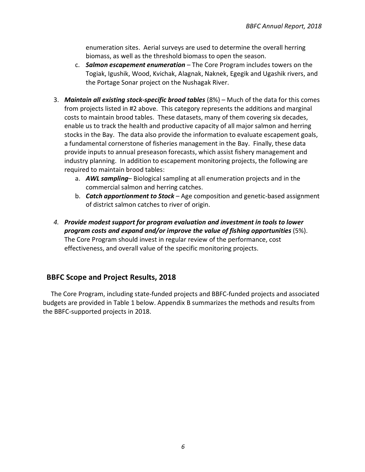enumeration sites. Aerial surveys are used to determine the overall herring biomass, as well as the threshold biomass to open the season.

- c. *Salmon escapement enumeration* The Core Program includes towers on the Togiak, Igushik, Wood, Kvichak, Alagnak, Naknek, Egegik and Ugashik rivers, and the Portage Sonar project on the Nushagak River.
- 3. *Maintain all existing stock-specific brood tables* (8%) Much of the data for this comes from projects listed in #2 above. This category represents the additions and marginal costs to maintain brood tables. These datasets, many of them covering six decades, enable us to track the health and productive capacity of all major salmon and herring stocks in the Bay. The data also provide the information to evaluate escapement goals, a fundamental cornerstone of fisheries management in the Bay. Finally, these data provide inputs to annual preseason forecasts, which assist fishery management and industry planning. In addition to escapement monitoring projects, the following are required to maintain brood tables:
	- a. *AWL sampling* Biological sampling at all enumeration projects and in the commercial salmon and herring catches.
	- b. *Catch apportionment to Stock* Age composition and genetic-based assignment of district salmon catches to river of origin.
- *4. Provide modest support for program evaluation and investment in tools to lower program costs and expand and/or improve the value of fishing opportunities* (5%). The Core Program should invest in regular review of the performance, cost effectiveness, and overall value of the specific monitoring projects.

#### <span id="page-8-0"></span> **BBFC Scope and Project Results, 2018**

The Core Program, including state-funded projects and BBFC-funded projects and associated budgets are provided in Table 1 below. Appendix B summarizes the methods and results from the BBFC-supported projects in 2018.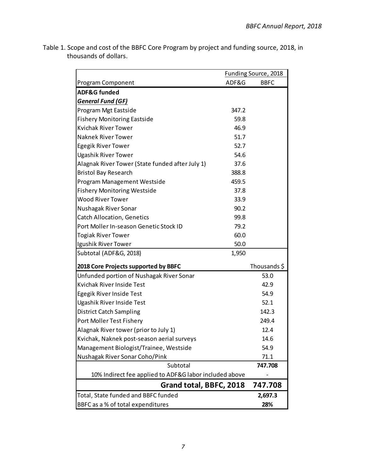|                                                        |       | Funding Source, 2018 |
|--------------------------------------------------------|-------|----------------------|
| Program Component                                      | ADF&G | <b>BBFC</b>          |
| <b>ADF&amp;G funded</b>                                |       |                      |
| <b>General Fund (GF)</b>                               |       |                      |
| Program Mgt Eastside                                   | 347.2 |                      |
| <b>Fishery Monitoring Eastside</b>                     | 59.8  |                      |
| <b>Kvichak River Tower</b>                             | 46.9  |                      |
| <b>Naknek River Tower</b>                              | 51.7  |                      |
| <b>Egegik River Tower</b>                              | 52.7  |                      |
| <b>Ugashik River Tower</b>                             | 54.6  |                      |
| Alagnak River Tower (State funded after July 1)        | 37.6  |                      |
| <b>Bristol Bay Research</b>                            | 388.8 |                      |
| Program Management Westside                            | 459.5 |                      |
| <b>Fishery Monitoring Westside</b>                     | 37.8  |                      |
| <b>Wood River Tower</b>                                | 33.9  |                      |
| Nushagak River Sonar                                   | 90.2  |                      |
| <b>Catch Allocation, Genetics</b>                      | 99.8  |                      |
| Port Moller In-season Genetic Stock ID                 | 79.2  |                      |
| <b>Togiak River Tower</b>                              | 60.0  |                      |
| Igushik River Tower                                    | 50.0  |                      |
| Subtotal (ADF&G, 2018)                                 | 1,950 |                      |
| 2018 Core Projects supported by BBFC                   |       | Thousands \$         |
| Unfunded portion of Nushagak River Sonar               |       | 53.0                 |
| Kvichak River Inside Test                              |       | 42.9                 |
| Egegik River Inside Test                               |       | 54.9                 |
| <b>Ugashik River Inside Test</b>                       |       | 52.1                 |
| <b>District Catch Sampling</b>                         |       | 142.3                |
| Port Moller Test Fishery                               |       | 249.4                |
| Alagnak River tower (prior to July 1)                  |       | 12.4                 |
| Kvichak, Naknek post-season aerial surveys             |       | 14.6                 |
| Management Biologist/Trainee, Westside                 |       | 54.9                 |
| Nushagak River Sonar Coho/Pink                         |       | 71.1                 |
| Subtotal                                               |       | 747.708              |
| 10% Indirect fee applied to ADF&G labor included above |       |                      |
| Grand total, BBFC, 2018                                |       | 747.708              |
| Total, State funded and BBFC funded                    |       | 2,697.3              |
| BBFC as a % of total expenditures                      |       | 28%                  |

Table 1. Scope and cost of the BBFC Core Program by project and funding source, 2018, in thousands of dollars.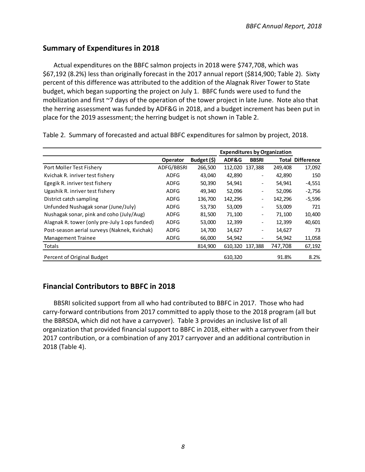### <span id="page-10-0"></span>**Summary of Expenditures in 2018**

Actual expenditures on the BBFC salmon projects in 2018 were \$747,708, which was \$67,192 (8.2%) less than originally forecast in the 2017 annual report (\$814,900; Table 2). Sixty percent of this difference was attributed to the addition of the Alagnak River Tower to State budget, which began supporting the project on July 1. BBFC funds were used to fund the mobilization and first ~7 days of the operation of the tower project in late June. Note also that the herring assessment was funded by ADF&G in 2018, and a budget increment has been put in place for the 2019 assessment; the herring budget is not shown in Table 2.

|                                               |                 |             |         |                          | <b>Expenditures by Organization</b> |                         |
|-----------------------------------------------|-----------------|-------------|---------|--------------------------|-------------------------------------|-------------------------|
|                                               | <b>Operator</b> | Budget (\$) | ADF&G   | <b>BBSRI</b>             |                                     | <b>Total Difference</b> |
| Port Moller Test Fishery                      | ADFG/BBSRI      | 266,500     | 112,020 | 137,388                  | 249,408                             | 17,092                  |
| Kvichak R. inriver test fishery               | <b>ADFG</b>     | 43,040      | 42,890  | $\overline{\phantom{a}}$ | 42,890                              | 150                     |
| Egegik R. inriver test fishery                | ADFG            | 50,390      | 54,941  | $\overline{\phantom{a}}$ | 54,941                              | $-4,551$                |
| Ugashik R. inriver test fishery               | ADFG            | 49,340      | 52,096  | $\overline{\phantom{a}}$ | 52,096                              | $-2,756$                |
| District catch sampling                       | <b>ADFG</b>     | 136,700     | 142,296 | $\overline{\phantom{a}}$ | 142,296                             | $-5,596$                |
| Unfunded Nushagak sonar (June/July)           | <b>ADFG</b>     | 53,730      | 53,009  | $\overline{\phantom{a}}$ | 53,009                              | 721                     |
| Nushagak sonar, pink and coho (July/Aug)      | ADFG            | 81,500      | 71,100  | $\overline{\phantom{a}}$ | 71,100                              | 10,400                  |
| Alagnak R. tower (only pre-July 1 ops funded) | <b>ADFG</b>     | 53,000      | 12,399  | $\overline{\phantom{a}}$ | 12,399                              | 40,601                  |
| Post-season aerial surveys (Naknek, Kvichak)  | <b>ADFG</b>     | 14,700      | 14,627  | $\overline{\phantom{a}}$ | 14,627                              | 73                      |
| <b>Management Trainee</b>                     | <b>ADFG</b>     | 66,000      | 54,942  |                          | 54,942                              | 11,058                  |
| Totals                                        |                 | 814,900     | 610,320 | 137,388                  | 747,708                             | 67,192                  |
| Percent of Original Budget                    |                 |             | 610,320 |                          | 91.8%                               | 8.2%                    |

Table 2. Summary of forecasted and actual BBFC expenditures for salmon by project, 2018.

## <span id="page-10-1"></span>**Financial Contributors to BBFC in 2018**

BBSRI solicited support from all who had contributed to BBFC in 2017. Those who had carry-forward contributions from 2017 committed to apply those to the 2018 program (all but the BBRSDA, which did not have a carryover). Table 3 provides an inclusive list of all organization that provided financial support to BBFC in 2018, either with a carryover from their 2017 contribution, or a combination of any 2017 carryover and an additional contribution in 2018 (Table 4).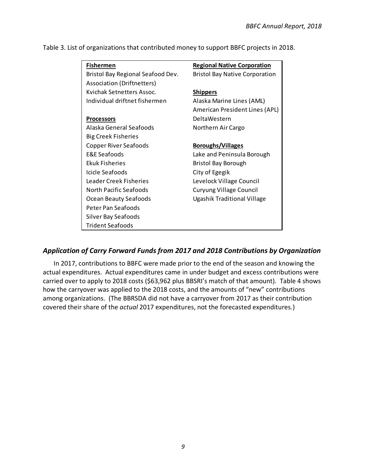| <b>Bristol Bay Native Corporation</b><br>Bristol Bay Regional Seafood Dev.<br><b>Association (Driftnetters)</b><br>Kvichak Setnetters Assoc.<br><b>Shippers</b><br>Individual driftnet fishermen<br>Alaska Marine Lines (AML)<br>American President Lines (APL) | <b>Fishermen</b>  | <b>Regional Native Corporation</b> |
|-----------------------------------------------------------------------------------------------------------------------------------------------------------------------------------------------------------------------------------------------------------------|-------------------|------------------------------------|
|                                                                                                                                                                                                                                                                 |                   |                                    |
|                                                                                                                                                                                                                                                                 |                   |                                    |
|                                                                                                                                                                                                                                                                 |                   |                                    |
|                                                                                                                                                                                                                                                                 |                   |                                    |
|                                                                                                                                                                                                                                                                 |                   |                                    |
|                                                                                                                                                                                                                                                                 | <b>Processors</b> | <b>DeltaWestern</b>                |
| Alaska General Seafoods<br>Northern Air Cargo                                                                                                                                                                                                                   |                   |                                    |
| <b>Big Creek Fisheries</b>                                                                                                                                                                                                                                      |                   |                                    |
| Copper River Seafoods<br><b>Boroughs/Villages</b>                                                                                                                                                                                                               |                   |                                    |
| E&E Seafoods<br>Lake and Peninsula Borough                                                                                                                                                                                                                      |                   |                                    |
| <b>Ekuk Fisheries</b><br>Bristol Bay Borough                                                                                                                                                                                                                    |                   |                                    |
| Icicle Seafoods<br>City of Egegik                                                                                                                                                                                                                               |                   |                                    |
| <b>Leader Creek Fisheries</b><br>Levelock Village Council                                                                                                                                                                                                       |                   |                                    |
| North Pacific Seafoods<br><b>Curyung Village Council</b>                                                                                                                                                                                                        |                   |                                    |
| Ugashik Traditional Village<br>Ocean Beauty Seafoods                                                                                                                                                                                                            |                   |                                    |
| Peter Pan Seafoods                                                                                                                                                                                                                                              |                   |                                    |
| Silver Bay Seafoods                                                                                                                                                                                                                                             |                   |                                    |
| <b>Trident Seafoods</b>                                                                                                                                                                                                                                         |                   |                                    |

#### <span id="page-11-0"></span>*Application of Carry Forward Funds from 2017 and 2018 Contributions by Organization*

In 2017, contributions to BBFC were made prior to the end of the season and knowing the actual expenditures. Actual expenditures came in under budget and excess contributions were carried over to apply to 2018 costs (\$63,962 plus BBSRI's match of that amount). Table 4 shows how the carryover was applied to the 2018 costs, and the amounts of "new" contributions among organizations. (The BBRSDA did not have a carryover from 2017 as their contribution covered their share of the *actual* 2017 expenditures, not the forecasted expenditures.)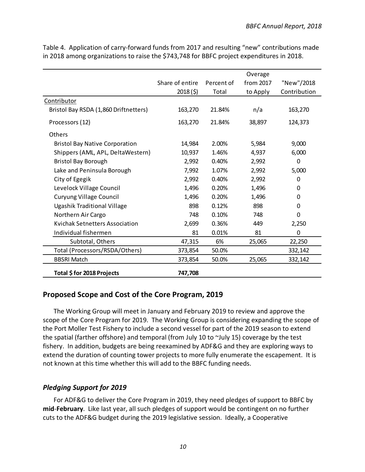|                                       |                 |            | Overage   |              |
|---------------------------------------|-----------------|------------|-----------|--------------|
|                                       | Share of entire | Percent of | from 2017 | "New"/2018   |
|                                       | 2018(5)         | Total      | to Apply  | Contribution |
| Contributor                           |                 |            |           |              |
| Bristol Bay RSDA (1,860 Driftnetters) | 163,270         | 21.84%     | n/a       | 163,270      |
| Processors (12)                       | 163,270         | 21.84%     | 38,897    | 124,373      |
| <b>Others</b>                         |                 |            |           |              |
| <b>Bristol Bay Native Corporation</b> | 14,984          | 2.00%      | 5,984     | 9,000        |
| Shippers (AML, APL, DeltaWestern)     | 10,937          | 1.46%      | 4,937     | 6,000        |
| <b>Bristol Bay Borough</b>            | 2,992           | 0.40%      | 2,992     | $\Omega$     |
| Lake and Peninsula Borough            | 7,992           | 1.07%      | 2,992     | 5,000        |
| City of Egegik                        | 2,992           | 0.40%      | 2,992     | 0            |
| Levelock Village Council              | 1,496           | 0.20%      | 1,496     | 0            |
| <b>Curyung Village Council</b>        | 1,496           | 0.20%      | 1,496     | 0            |
| <b>Ugashik Traditional Village</b>    | 898             | 0.12%      | 898       | 0            |
| Northern Air Cargo                    | 748             | 0.10%      | 748       | 0            |
| <b>Kvichak Setnetters Association</b> | 2,699           | 0.36%      | 449       | 2,250        |
| Individual fishermen                  | 81              | 0.01%      | 81        | 0            |
| Subtotal, Others                      | 47,315          | 6%         | 25,065    | 22,250       |
| Total (Processors/RSDA/Others)        | 373,854         | 50.0%      |           | 332,142      |
| <b>BBSRI Match</b>                    | 373,854         | 50.0%      | 25,065    | 332,142      |
| Total \$ for 2018 Projects            | 747,708         |            |           |              |

Table 4. Application of carry-forward funds from 2017 and resulting "new" contributions made in 2018 among organizations to raise the \$743,748 for BBFC project expenditures in 2018.

#### <span id="page-12-0"></span>**Proposed Scope and Cost of the Core Program, 2019**

The Working Group will meet in January and February 2019 to review and approve the scope of the Core Program for 2019. The Working Group is considering expanding the scope of the Port Moller Test Fishery to include a second vessel for part of the 2019 season to extend the spatial (farther offshore) and temporal (from July 10 to ~July 15) coverage by the test fishery. In addition, budgets are being reexamined by ADF&G and they are exploring ways to extend the duration of counting tower projects to more fully enumerate the escapement. It is not known at this time whether this will add to the BBFC funding needs.

#### <span id="page-12-1"></span>*Pledging Support for 2019*

For ADF&G to deliver the Core Program in 2019, they need pledges of support to BBFC by **mid**-**February**. Like last year, all such pledges of support would be contingent on no further cuts to the ADF&G budget during the 2019 legislative session. Ideally, a Cooperative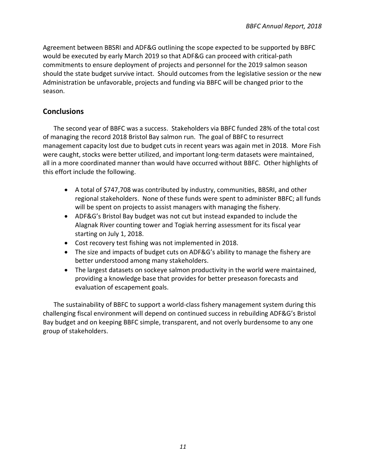Agreement between BBSRI and ADF&G outlining the scope expected to be supported by BBFC would be executed by early March 2019 so that ADF&G can proceed with critical-path commitments to ensure deployment of projects and personnel for the 2019 salmon season should the state budget survive intact. Should outcomes from the legislative session or the new Administration be unfavorable, projects and funding via BBFC will be changed prior to the season.

#### <span id="page-13-0"></span>**Conclusions**

The second year of BBFC was a success. Stakeholders via BBFC funded 28% of the total cost of managing the record 2018 Bristol Bay salmon run. The goal of BBFC to resurrect management capacity lost due to budget cuts in recent years was again met in 2018. More Fish were caught, stocks were better utilized, and important long-term datasets were maintained, all in a more coordinated manner than would have occurred without BBFC. Other highlights of this effort include the following.

- A total of \$747,708 was contributed by industry, communities, BBSRI, and other regional stakeholders. None of these funds were spent to administer BBFC; all funds will be spent on projects to assist managers with managing the fishery.
- ADF&G's Bristol Bay budget was not cut but instead expanded to include the Alagnak River counting tower and Togiak herring assessment for its fiscal year starting on July 1, 2018.
- Cost recovery test fishing was not implemented in 2018.
- The size and impacts of budget cuts on ADF&G's ability to manage the fishery are better understood among many stakeholders.
- The largest datasets on sockeye salmon productivity in the world were maintained, providing a knowledge base that provides for better preseason forecasts and evaluation of escapement goals.

The sustainability of BBFC to support a world-class fishery management system during this challenging fiscal environment will depend on continued success in rebuilding ADF&G's Bristol Bay budget and on keeping BBFC simple, transparent, and not overly burdensome to any one group of stakeholders.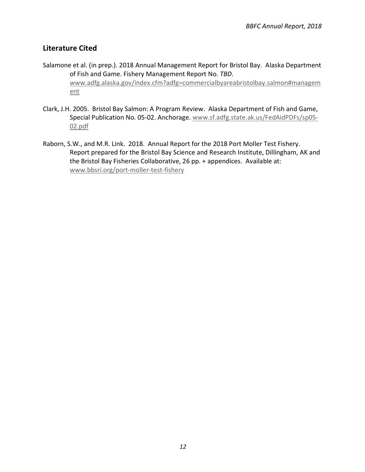#### <span id="page-14-0"></span>**Literature Cited**

- Salamone et al. (in prep.). 2018 Annual Management Report for Bristol Bay. Alaska Department of Fish and Game. Fishery Management Report No. *TBD*. [www.adfg.alaska.gov/index.cfm?adfg=commercialbyareabristolbay.salmon#managem](http://www.adfg.alaska.gov/index.cfm?adfg=commercialbyareabristolbay.salmon#management) [ent](http://www.adfg.alaska.gov/index.cfm?adfg=commercialbyareabristolbay.salmon#management)
- Clark, J.H. 2005. Bristol Bay Salmon: A Program Review. Alaska Department of Fish and Game, Special Publication No. 05-02. Anchorage. [www.sf.adfg.state.ak.us/FedAidPDFs/sp05-](http://www.sf.adfg.state.ak.us/FedAidPDFs/sp05-02.pdf) [02.pdf](http://www.sf.adfg.state.ak.us/FedAidPDFs/sp05-02.pdf)
- Raborn, S.W., and M.R. Link. 2018. Annual Report for the 2018 Port Moller Test Fishery. Report prepared for the Bristol Bay Science and Research Institute, Dillingham, AK and the Bristol Bay Fisheries Collaborative, 26 pp. + appendices. Available at: [www.bbsri.org/port-moller-test-fishery](http://www.bbsri.org/port-moller-test-fishery)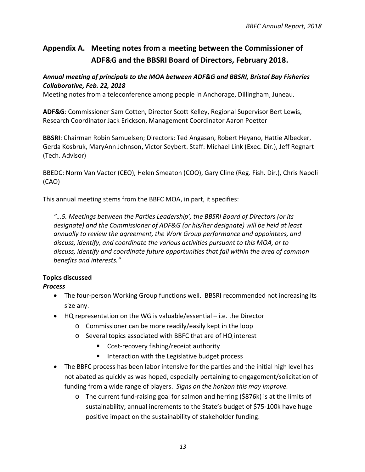## <span id="page-15-0"></span>**Appendix A. Meeting notes from a meeting between the Commissioner of ADF&G and the BBSRI Board of Directors, February 2018.**

#### *Annual meeting of principals to the MOA between ADF&G and BBSRI, Bristol Bay Fisheries Collaborative, Feb. 22, 2018*

Meeting notes from a teleconference among people in Anchorage, Dillingham, Juneau.

**ADF&G**: Commissioner Sam Cotten, Director Scott Kelley, Regional Supervisor Bert Lewis, Research Coordinator Jack Erickson, Management Coordinator Aaron Poetter

**BBSRI**: Chairman Robin Samuelsen; Directors: Ted Angasan, Robert Heyano, Hattie Albecker, Gerda Kosbruk, MaryAnn Johnson, Victor Seybert. Staff: Michael Link (Exec. Dir.), Jeff Regnart (Tech. Advisor)

BBEDC: Norm Van Vactor (CEO), Helen Smeaton (COO), Gary Cline (Reg. Fish. Dir.), Chris Napoli (CAO)

This annual meeting stems from the BBFC MOA, in part, it specifies:

*"…5. Meetings between the Parties Leadership', the BBSRI Board of Directors (or its designate) and the Commissioner of ADF&G (or his/her designate) will be held at least annually to review the agreement, the Work Group performance and appointees, and discuss, identify, and coordinate the various activities pursuant to this MOA, or to discuss, identify and coordinate future opportunities that fall within the area of common benefits and interests."*

#### **Topics discussed**

#### *Process*

- The four-person Working Group functions well. BBSRI recommended not increasing its size any.
- HQ representation on the WG is valuable/essential i.e. the Director
	- o Commissioner can be more readily/easily kept in the loop
	- o Several topics associated with BBFC that are of HQ interest
		- Cost-recovery fishing/receipt authority
		- Interaction with the Legislative budget process
- The BBFC process has been labor intensive for the parties and the initial high level has not abated as quickly as was hoped, especially pertaining to engagement/solicitation of funding from a wide range of players. *Signs on the horizon this may improve.*
	- o The current fund-raising goal for salmon and herring (\$876k) is at the limits of sustainability; annual increments to the State's budget of \$75-100k have huge positive impact on the sustainability of stakeholder funding.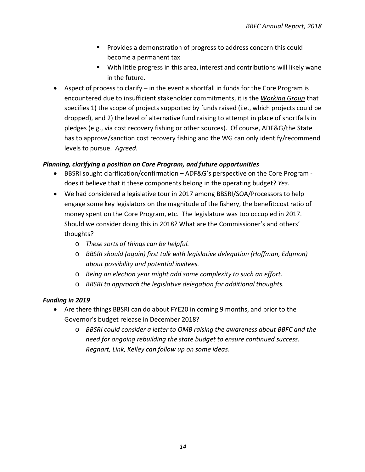- **Provides a demonstration of progress to address concern this could** become a permanent tax
- With little progress in this area, interest and contributions will likely wane in the future.
- Aspect of process to clarify in the event a shortfall in funds for the Core Program is encountered due to insufficient stakeholder commitments, it is the *Working Group* that specifies 1) the scope of projects supported by funds raised (i.e., which projects could be dropped), and 2) the level of alternative fund raising to attempt in place of shortfalls in pledges (e.g., via cost recovery fishing or other sources). Of course, ADF&G/the State has to approve/sanction cost recovery fishing and the WG can only identify/recommend levels to pursue. *Agreed.*

#### *Planning, clarifying a position on Core Program, and future opportunities*

- BBSRI sought clarification/confirmation ADF&G's perspective on the Core Program does it believe that it these components belong in the operating budget? *Yes.*
- We had considered a legislative tour in 2017 among BBSRI/SOA/Processors to help engage some key legislators on the magnitude of the fishery, the benefit:cost ratio of money spent on the Core Program, etc. The legislature was too occupied in 2017. Should we consider doing this in 2018? What are the Commissioner's and others' thoughts?
	- o *These sorts of things can be helpful.*
	- o *BBSRI should (again) first talk with legislative delegation (Hoffman, Edgmon) about possibility and potential invitees.*
	- o *Being an election year might add some complexity to such an effort.*
	- o *BBSRI to approach the legislative delegation for additional thoughts.*

#### *Funding in 2019*

- Are there things BBSRI can do about FYE20 in coming 9 months, and prior to the Governor's budget release in December 2018?
	- o *BBSRI could consider a letter to OMB raising the awareness about BBFC and the need for ongoing rebuilding the state budget to ensure continued success*. *Regnart, Link, Kelley can follow up on some ideas.*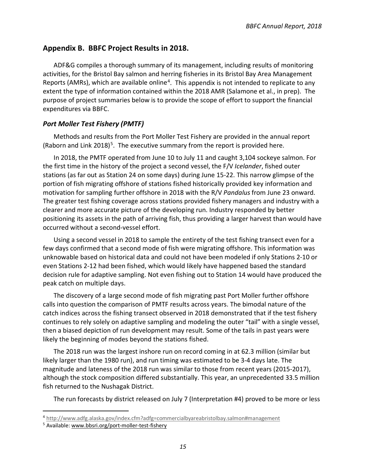#### <span id="page-17-0"></span>**Appendix B. BBFC Project Results in 2018.**

ADF&G compiles a thorough summary of its management, including results of monitoring activities, for the Bristol Bay salmon and herring fisheries in its Bristol Bay Area Management Reports (AMRs), which are available online<sup>[4](#page-17-2)</sup>. This appendix is not intended to replicate to any extent the type of information contained within the 2018 AMR (Salamone et al., in prep). The purpose of project summaries below is to provide the scope of effort to support the financial expenditures via BBFC.

#### <span id="page-17-1"></span>*Port Moller Test Fishery (PMTF)*

Methods and results from the Port Moller Test Fishery are provided in the annual report (Raborn and Link 2018)<sup>5</sup>. The executive summary from the report is provided here.

In 2018, the PMTF operated from June 10 to July 11 and caught 3,104 sockeye salmon. For the first time in the history of the project a second vessel, the F/V *Icelander*, fished outer stations (as far out as Station 24 on some days) during June 15-22. This narrow glimpse of the portion of fish migrating offshore of stations fished historically provided key information and motivation for sampling further offshore in 2018 with the R/V *Pandalus* from June 23 onward. The greater test fishing coverage across stations provided fishery managers and industry with a clearer and more accurate picture of the developing run. Industry responded by better positioning its assets in the path of arriving fish, thus providing a larger harvest than would have occurred without a second-vessel effort.

Using a second vessel in 2018 to sample the entirety of the test fishing transect even for a few days confirmed that a second mode of fish were migrating offshore. This information was unknowable based on historical data and could not have been modeled if only Stations 2-10 or even Stations 2-12 had been fished, which would likely have happened based the standard decision rule for adaptive sampling. Not even fishing out to Station 14 would have produced the peak catch on multiple days.

The discovery of a large second mode of fish migrating past Port Moller further offshore calls into question the comparison of PMTF results across years. The bimodal nature of the catch indices across the fishing transect observed in 2018 demonstrated that if the test fishery continues to rely solely on adaptive sampling and modeling the outer "tail" with a single vessel, then a biased depiction of run development may result. Some of the tails in past years were likely the beginning of modes beyond the stations fished.

The 2018 run was the largest inshore run on record coming in at 62.3 million (similar but likely larger than the 1980 run), and run timing was estimated to be 3-4 days late. The magnitude and lateness of the 2018 run was similar to those from recent years (2015-2017), although the stock composition differed substantially. This year, an unprecedented 33.5 million fish returned to the Nushagak District.

The run forecasts by district released on July 7 (Interpretation #4) proved to be more or less

<span id="page-17-2"></span> <sup>4</sup> <http://www.adfg.alaska.gov/index.cfm?adfg=commercialbyareabristolbay.salmon#management>

<span id="page-17-3"></span><sup>5</sup> Available[: www.bbsri.org/port-moller-test-fishery](http://www.bbsri.org/port-moller-test-fishery)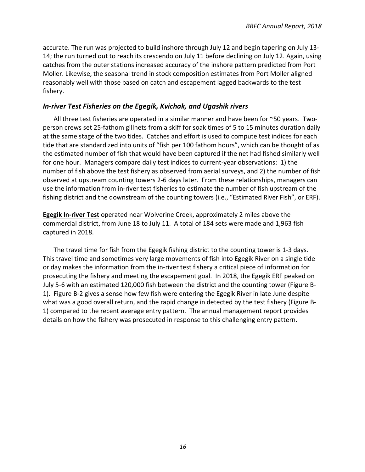accurate. The run was projected to build inshore through July 12 and begin tapering on July 13- 14; the run turned out to reach its crescendo on July 11 before declining on July 12. Again, using catches from the outer stations increased accuracy of the inshore pattern predicted from Port Moller. Likewise, the seasonal trend in stock composition estimates from Port Moller aligned reasonably well with those based on catch and escapement lagged backwards to the test fishery.

#### <span id="page-18-0"></span>*In-river Test Fisheries on the Egegik, Kvichak, and Ugashik rivers*

All three test fisheries are operated in a similar manner and have been for ~50 years. Twoperson crews set 25-fathom gillnets from a skiff for soak times of 5 to 15 minutes duration daily at the same stage of the two tides. Catches and effort is used to compute test indices for each tide that are standardized into units of "fish per 100 fathom hours", which can be thought of as the estimated number of fish that would have been captured if the net had fished similarly well for one hour. Managers compare daily test indices to current-year observations: 1) the number of fish above the test fishery as observed from aerial surveys, and 2) the number of fish observed at upstream counting towers 2-6 days later. From these relationships, managers can use the information from in-river test fisheries to estimate the number of fish upstream of the fishing district and the downstream of the counting towers (i.e., "Estimated River Fish", or ERF).

**Egegik In-river Test** operated near Wolverine Creek, approximately 2 miles above the commercial district, from June 18 to July 11. A total of 184 sets were made and 1,963 fish captured in 2018.

The travel time for fish from the Egegik fishing district to the counting tower is 1-3 days. This travel time and sometimes very large movements of fish into Egegik River on a single tide or day makes the information from the in-river test fishery a critical piece of information for prosecuting the fishery and meeting the escapement goal. In 2018, the Egegik ERF peaked on July 5-6 with an estimated 120,000 fish between the district and the counting tower (Figure B-1). Figure B-2 gives a sense how few fish were entering the Egegik River in late June despite what was a good overall return, and the rapid change in detected by the test fishery (Figure B-1) compared to the recent average entry pattern. The annual management report provides details on how the fishery was prosecuted in response to this challenging entry pattern.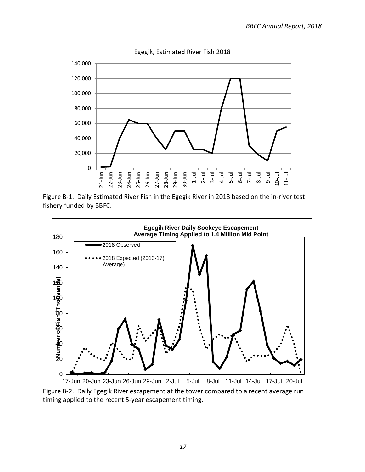

Egegik, Estimated River Fish 2018

Figure B-1. Daily Estimated River Fish in the Egegik River in 2018 based on the in-river test fishery funded by BBFC.



Figure B-2. Daily Egegik River escapement at the tower compared to a recent average run timing applied to the recent 5-year escapement timing.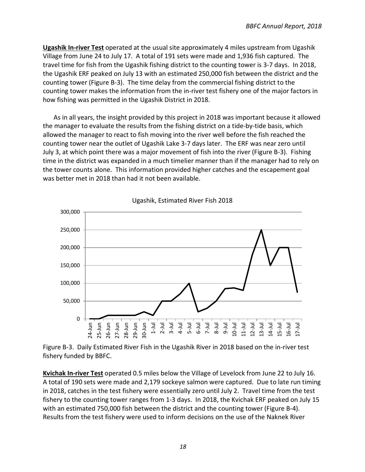**Ugashik In-river Test** operated at the usual site approximately 4 miles upstream from Ugashik Village from June 24 to July 17. A total of 191 sets were made and 1,936 fish captured. The travel time for fish from the Ugashik fishing district to the counting tower is 3-7 days. In 2018, the Ugashik ERF peaked on July 13 with an estimated 250,000 fish between the district and the counting tower (Figure B-3). The time delay from the commercial fishing district to the counting tower makes the information from the in-river test fishery one of the major factors in how fishing was permitted in the Ugashik District in 2018.

As in all years, the insight provided by this project in 2018 was important because it allowed the manager to evaluate the results from the fishing district on a tide-by-tide basis, which allowed the manager to react to fish moving into the river well before the fish reached the counting tower near the outlet of Ugashik Lake 3-7 days later. The ERF was near zero until July 3, at which point there was a major movement of fish into the river (Figure B-3). Fishing time in the district was expanded in a much timelier manner than if the manager had to rely on the tower counts alone. This information provided higher catches and the escapement goal was better met in 2018 than had it not been available.



Ugashik, Estimated River Fish 2018

Figure B-3. Daily Estimated River Fish in the Ugashik River in 2018 based on the in-river test fishery funded by BBFC.

**Kvichak In-river Test** operated 0.5 miles below the Village of Levelock from June 22 to July 16. A total of 190 sets were made and 2,179 sockeye salmon were captured. Due to late run timing in 2018, catches in the test fishery were essentially zero until July 2. Travel time from the test fishery to the counting tower ranges from 1-3 days. In 2018, the Kvichak ERF peaked on July 15 with an estimated 750,000 fish between the district and the counting tower (Figure B-4). Results from the test fishery were used to inform decisions on the use of the Naknek River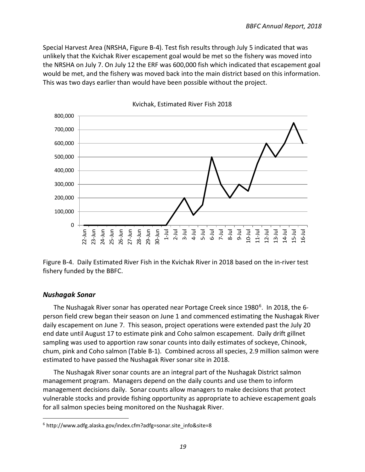Special Harvest Area (NRSHA, Figure B-4). Test fish results through July 5 indicated that was unlikely that the Kvichak River escapement goal would be met so the fishery was moved into the NRSHA on July 7. On July 12 the ERF was 600,000 fish which indicated that escapement goal would be met, and the fishery was moved back into the main district based on this information. This was two days earlier than would have been possible without the project.



Kvichak, Estimated River Fish 2018

Figure B-4. Daily Estimated River Fish in the Kvichak River in 2018 based on the in-river test fishery funded by the BBFC.

#### <span id="page-21-0"></span>*Nushagak Sonar*

The Nushagak River sonar has operated near Portage Creek since 1980<sup>[6](#page-21-1)</sup>. In 2018, the 6person field crew began their season on June 1 and commenced estimating the Nushagak River daily escapement on June 7. This season, project operations were extended past the July 20 end date until August 17 to estimate pink and Coho salmon escapement. Daily drift gillnet sampling was used to apportion raw sonar counts into daily estimates of sockeye, Chinook, chum, pink and Coho salmon (Table B-1). Combined across all species, 2.9 million salmon were estimated to have passed the Nushagak River sonar site in 2018.

The Nushagak River sonar counts are an integral part of the Nushagak District salmon management program. Managers depend on the daily counts and use them to inform management decisions daily. Sonar counts allow managers to make decisions that protect vulnerable stocks and provide fishing opportunity as appropriate to achieve escapement goals for all salmon species being monitored on the Nushagak River.

<span id="page-21-1"></span> $6$  http://www.adfg.alaska.gov/index.cfm?adfg=sonar.site info&site=8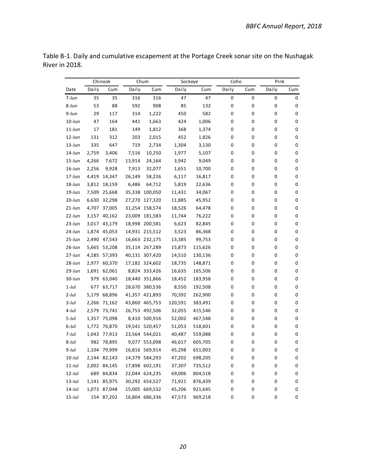|            |       | Chinook      |        | Chum           | Sockeye |         | Coho  |     | Pink  |     |
|------------|-------|--------------|--------|----------------|---------|---------|-------|-----|-------|-----|
| Date       | Daily | Cum          | Daily  | Cum            | Daily   | Cum     | Daily | Cum | Daily | Cum |
| 7-Jun      | 35    | 35           | 316    | 316            | 47      | 47      | 0     | 0   | 0     | 0   |
| 8-Jun      | 53    | 88           | 592    | 908            | 85      | 132     | 0     | 0   | 0     | 0   |
| 9-Jun      | 29    | 117          | 314    | 1,222          | 450     | 582     | 0     | 0   | 0     | 0   |
| $10$ -Jun  | 47    | 164          | 441    | 1,663          | 424     | 1,006   | 0     | 0   | 0     | 0   |
| $11$ -Jun  | 17    | 181          | 149    | 1,812          | 368     | 1,374   | 0     | 0   | 0     | 0   |
| 12-Jun     | 131   | 312          | 203    | 2,015          | 452     | 1,826   | 0     | 0   | 0     | 0   |
| $13 - Jun$ | 335   | 647          | 719    | 2,734          | 1,304   | 3,130   | 0     | 0   | 0     | 0   |
| 14-Jun     | 2,759 | 3,406        | 7,516  | 10,250         | 1,977   | 5,107   | 0     | 0   | 0     | 0   |
| $15 - Jun$ | 4,266 | 7,672        | 13,914 | 24,164         | 3,942   | 9,049   | 0     | 0   | 0     | 0   |
| $16$ -Jun  | 2,256 | 9,928        | 7,913  | 32,077         | 1,651   | 10,700  | 0     | 0   | 0     | 0   |
| $17 - Jun$ | 4,419 | 14,347       | 26,149 | 58,226         | 6,117   | 16,817  | 0     | 0   | 0     | 0   |
| 18-Jun     | 3,812 | 18,159       | 6,486  | 64,712         | 5,819   | 22,636  | 0     | 0   | 0     | 0   |
| $19$ -Jun  | 7,509 | 25,668       |        | 35,338 100,050 | 11,431  | 34,067  | 0     | 0   | 0     | 0   |
| 20-Jun     |       | 6,630 32,298 |        | 27,270 127,320 | 11,885  | 45,952  | 0     | 0   | 0     | 0   |
| $21$ -Jun  |       | 4,707 37,005 |        | 31,254 158,574 | 18,526  | 64,478  | 0     | 0   | 0     | 0   |
| 22-Jun     | 3,157 | 40,162       |        | 23,009 181,583 | 11,744  | 76,222  | 0     | 0   | 0     | 0   |
| 23-Jun     | 3,017 | 43,179       |        | 18,998 200,581 | 6,623   | 82,845  | 0     | 0   | 0     | 0   |
| 24-Jun     |       | 1,874 45,053 |        | 14,931 215,512 | 3,523   | 86,368  | 0     | 0   | 0     | 0   |
| $25 - Jun$ |       | 2,490 47,543 |        | 16,663 232,175 | 13,385  | 99,753  | 0     | 0   | 0     | 0   |
| $26$ -Jun  | 5,665 | 53,208       |        | 35,114 267,289 | 15,873  | 115,626 | 0     | 0   | 0     | 0   |
| 27-Jun     | 4,185 | 57,393       |        | 40,131 307,420 | 14,510  | 130,136 | 0     | 0   | 0     | 0   |
| 28-Jun     | 2,977 | 60,370       |        | 17,182 324,602 | 18,735  | 148,871 | 0     | 0   | 0     | 0   |
| 29-Jun     | 1,691 | 62,061       |        | 8,824 333,426  | 16,635  | 165,506 | 0     | 0   | 0     | 0   |
| 30-Jun     | 979   | 63,040       |        | 18,440 351,866 | 18,452  | 183,958 | 0     | 0   | 0     | 0   |
| $1$ -Jul   | 677   | 63,717       |        | 28,670 380,536 | 8,550   | 192,508 | 0     | 0   | 0     | 0   |
| 2-Jul      | 5,179 | 68,896       |        | 41,357 421,893 | 70,392  | 262,900 | 0     | 0   | 0     | 0   |
| $3$ -Jul   | 2,266 | 71,162       |        | 43,860 465,753 | 120,591 | 383,491 | 0     | 0   | 0     | 0   |
| 4-Jul      | 2,579 | 73,741       |        | 26,753 492,506 | 32,055  | 415,546 | 0     | 0   | 0     | 0   |
| 5-Jul      | 1,357 | 75,098       |        | 8,410 500,916  | 52,002  | 467,548 | 0     | 0   | 0     | 0   |
| 6-Jul      |       | 1,772 76,870 |        | 19,541 520,457 | 51,053  | 518,601 | 0     | 0   | 0     | 0   |
| 7-Jul      |       | 1,043 77,913 |        | 23,564 544,021 | 40,487  | 559,088 | 0     | 0   | 0     | 0   |
| 8-Jul      |       | 982 78,895   |        | 9,077 553,098  | 46,617  | 605,705 | 0     | 0   | 0     | 0   |
| 9-Jul      |       | 1,104 79,999 |        | 16,816 569,914 | 45,298  | 651,003 | 0     | 0   | 0     | 0   |
| $10$ -Jul  |       | 2,144 82,143 |        | 14,379 584,293 | 47,202  | 698,205 | 0     | 0   | 0     | 0   |
| $11$ -Jul  |       | 2,002 84,145 |        | 17,898 602,191 | 37,307  | 735,512 | 0     | 0   | 0     | 0   |
| 12-Jul     |       | 689 84,834   |        | 22,044 624,235 | 69,006  | 804,518 | 0     | 0   | 0     | 0   |
| $13$ -Jul  |       | 1,141 85,975 |        | 30,292 654,527 | 71,921  | 876,439 | 0     | 0   | 0     | 0   |
| 14-Jul     |       | 1,073 87,048 |        | 15,005 669,532 | 45,206  | 921,645 | 0     | 0   | 0     | 0   |
| $15$ -Jul  |       | 154 87,202   |        | 16,804 686,336 | 47,573  | 969,218 | 0     | 0   | 0     | 0   |

Table B-1. Daily and cumulative escapement at the Portage Creek sonar site on the Nushagak River in 2018.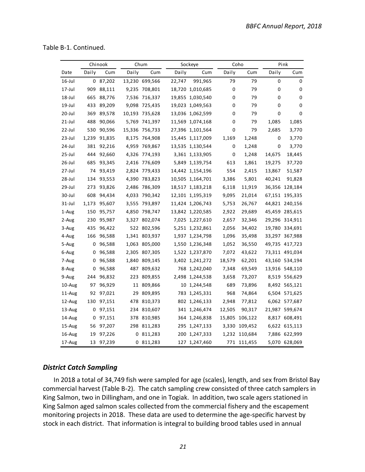Table B-1. Continued.

|           |       | Chinook |       | Chum           |        | Sockeye          |             | Coho          |        | Pink           |
|-----------|-------|---------|-------|----------------|--------|------------------|-------------|---------------|--------|----------------|
| Date      | Daily | Cum     | Daily | Cum            | Daily  | Cum              | Daily       | Cum           | Daily  | Cum            |
| $16$ -Jul |       | 087,202 |       | 13,230 699,566 | 22,747 | 991,965          | 79          | 79            | 0      | 0              |
| 17-Jul    | 909   | 88,111  |       | 9,235 708,801  |        | 18,720 1,010,685 | 0           | 79            | 0      | 0              |
| 18-Jul    | 665   | 88,776  |       | 7,536 716,337  |        | 19,855 1,030,540 | 0           | 79            | 0      | 0              |
| $19$ -Jul | 433   | 89,209  |       | 9,098 725,435  |        | 19,023 1,049,563 | 0           | 79            | 0      | 0              |
| 20-Jul    | 369   | 89,578  |       | 10,193 735,628 |        | 13,036 1,062,599 | 0           | 79            | 0      | 0              |
| 21-Jul    | 488   | 90,066  |       | 5,769 741,397  |        | 11,569 1,074,168 | 0           | 79            | 1,085  | 1,085          |
| 22-Jul    | 530   | 90,596  |       | 15,336 756,733 |        | 27,396 1,101,564 | 0           | 79            | 2,685  | 3,770          |
| $23$ -Jul | 1,239 | 91,835  |       | 8,175 764,908  |        | 15,445 1,117,009 | 1,169       | 1,248         | 0      | 3,770          |
| 24-Jul    | 381   | 92,216  |       | 4,959 769,867  |        | 13,535 1,130,544 | 0           | 1,248         | 0      | 3,770          |
| 25-Jul    | 444   | 92,660  |       | 4,326 774,193  |        | 3,361 1,133,905  | $\mathbf 0$ | 1,248         | 14,675 | 18,445         |
| 26-Jul    | 685   | 93,345  |       | 2,416 776,609  |        | 5,849 1,139,754  | 613         | 1,861         | 19,275 | 37,720         |
| 27-Jul    | 74    | 93,419  |       | 2,824 779,433  |        | 14,442 1,154,196 | 554         | 2,415         | 13,867 | 51,587         |
| 28-Jul    | 134   | 93,553  |       | 4,390 783,823  |        | 10,505 1,164,701 | 3,386       | 5,801         | 40,241 | 91,828         |
| 29-Jul    | 273   | 93,826  |       | 2,486 786,309  |        | 18,517 1,183,218 | 6,118       | 11,919        |        | 36,356 128,184 |
| 30-Jul    | 608   | 94,434  |       | 4,033 790,342  |        | 12,101 1,195,319 | 9,095       | 21,014        |        | 67,151 195,335 |
| $31$ -Jul | 1,173 | 95,607  |       | 3,555 793,897  |        | 11,424 1,206,743 | 5,753       | 26,767        |        | 44,821 240,156 |
| 1-Aug     | 150   | 95,757  |       | 4,850 798,747  |        | 13,842 1,220,585 | 2,922       | 29,689        |        | 45,459 285,615 |
| 2-Aug     | 230   | 95,987  |       | 3,327 802,074  |        | 7,025 1,227,610  | 2,657       | 32,346        |        | 29,296 314,911 |
| 3-Aug     | 435   | 96,422  |       | 522 802,596    |        | 5,251 1,232,861  | 2,056       | 34,402        |        | 19,780 334,691 |
| 4-Aug     | 166   | 96,588  |       | 1,341 803,937  |        | 1,937 1,234,798  | 1,096       | 35,498        |        | 33,297 367,988 |
| 5-Aug     | 0     | 96,588  |       | 1,063 805,000  |        | 1,550 1,236,348  | 1,052       | 36,550        |        | 49,735 417,723 |
| 6-Aug     | 0     | 96,588  |       | 2,305 807,305  |        | 1,522 1,237,870  | 7,072       | 43,622        |        | 73,311 491,034 |
| 7-Aug     | 0     | 96,588  |       | 1,840 809,145  |        | 3,402 1,241,272  | 18,579      | 62,201        |        | 43,160 534,194 |
| 8-Aug     | 0     | 96,588  |       | 487 809,632    |        | 768 1,242,040    | 7,348       | 69,549        |        | 13,916 548,110 |
| 9-Aug     | 244   | 96,832  |       | 223 809,855    |        | 2,498 1,244,538  | 3,658       | 73,207        |        | 8,519 556,629  |
| 10-Aug    | 97    | 96,929  |       | 11 809,866     |        | 10 1,244,548     | 689         | 73,896        |        | 8,492 565,121  |
| $11$ -Aug | 92    | 97,021  | 29    | 809,895        |        | 783 1,245,331    | 968         | 74,864        |        | 6,504 571,625  |
| 12-Aug    | 130   | 97,151  |       | 478 810,373    |        | 802 1,246,133    | 2,948       | 77,812        |        | 6,062 577,687  |
| $13$ -Aug | 0     | 97,151  |       | 234 810,607    |        | 341 1,246,474    | 12,505      | 90,317        |        | 21,987 599,674 |
| 14-Aug    | 0     | 97,151  |       | 378 810,985    |        | 364 1,246,838    | 15,805      | 106,122       |        | 8,817 608,491  |
| 15-Aug    | 56    | 97,207  |       | 298 811,283    |        | 295 1,247,133    | 3,330       | 109,452       |        | 6,622 615,113  |
| 16-Aug    | 19    | 97,226  |       | 0 811,283      |        | 200 1,247,333    |             | 1,232 110,684 |        | 7,886 622,999  |
| 17-Aug    | 13    | 97,239  |       | 0 811,283      |        | 127 1,247,460    |             | 771 111,455   |        | 5,070 628,069  |

#### <span id="page-23-0"></span>*District Catch Sampling*

In 2018 a total of 34,749 fish were sampled for age (scales), length, and sex from Bristol Bay commercial harvest (Table B-2). The catch sampling crew consisted of three catch samplers in King Salmon, two in Dillingham, and one in Togiak. In addition, two scale agers stationed in King Salmon aged salmon scales collected from the commercial fishery and the escapement monitoring projects in 2018. These data are used to determine the age-specific harvest by stock in each district. That information is integral to building brood tables used in annual